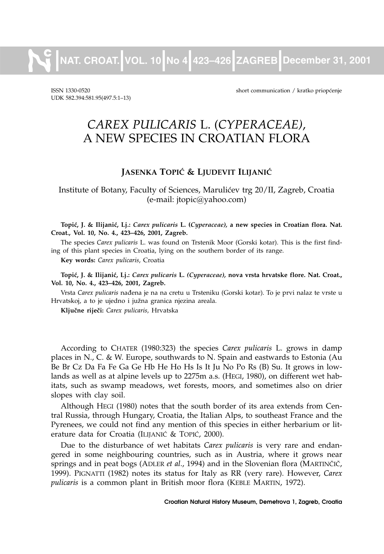**NAT. CROAT. VOL. 10 No 4 423–426 ZAGREB December 31, 2001**

UDK 582.394:581.95(497.5:1–13)

ISSN 1330-0520 short communication / kratko priop}enje

# *CAREX PULICARIS* L. (*CYPERACEAE)*, A NEW SPECIES IN CROATIAN FLORA

## **JASENKA TOPIĆ & LJUDEVIT ILIJANIĆ**

Institute of Botany, Faculty of Sciences, Maruli}ev trg 20/II, Zagreb, Croatia (e-mail: jtopic@yahoo.com)

**Topi}, J. & Ilijani}, Lj.:** *Carex pulicaris* **L. (***Cyperaceae),* **a new species in Croatian flora. Nat. Croat., Vol. 10, No. 4., 423–426, 2001, Zagreb.**

The species *Carex pulicaris* L. was found on Trstenik Moor (Gorski kotar). This is the first finding of this plant species in Croatia, lying on the southern border of its range.

**Key words:** *Carex pulicaris*, Croatia

**Topi}, J. & Ilijani}, Lj.:** *Carex pulicaris* **L.** *(Cyperaceae),* **nova vrsta hrvatske flore. Nat. Croat., Vol. 10, No. 4., 423–426, 2001, Zagreb.**

Vrsta Carex pulicaris nađena je na na cretu u Trsteniku (Gorski kotar). To je prvi nalaz te vrste u Hrvatskoj, a to je ujedno i južna granica njezina areala.

Ključne riječi: Carex pulicaris, Hrvatska

According to CHATER (1980:323) the species *Carex pulicaris* L. grows in damp places in N., C. & W. Europe, southwards to N. Spain and eastwards to Estonia (Au Be Br Cz Da Fa Fe Ga Ge Hb He Ho Hs Is It Ju No Po Rs (B) Su. It grows in lowlands as well as at alpine levels up to 2275m a.s. (HEGI, 1980), on different wet habitats, such as swamp meadows, wet forests, moors, and sometimes also on drier slopes with clay soil.

Although HEGI (1980) notes that the south border of its area extends from Central Russia, through Hungary, Croatia, the Italian Alps, to southeast France and the Pyrenees, we could not find any mention of this species in either herbarium or literature data for Croatia (ILIJANIĆ & TOPIĆ, 2000).

Due to the disturbance of wet habitats *Carex pulicaris* is very rare and endangered in some neighbouring countries, such as in Austria, where it grows near springs and in peat bogs (ADLER *et al.*, 1994) and in the Slovenian flora (MARTINČIČ, 1999). PIGNATTI (1982) notes its status for Italy as RR (very rare). However, *Carex pulicaris* is a common plant in British moor flora (KEBLE MARTIN, 1972).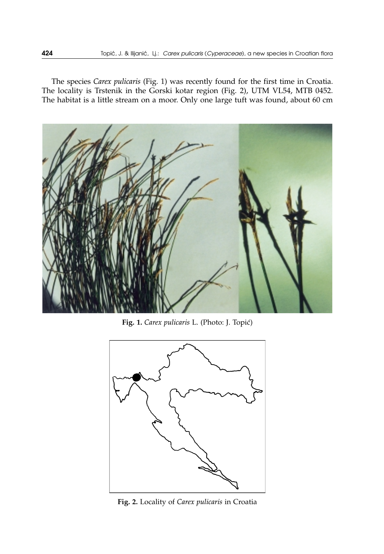The species *Carex pulicaris* (Fig. 1) was recently found for the first time in Croatia. The locality is Trstenik in the Gorski kotar region (Fig. 2), UTM VL54, MTB 0452. The habitat is a little stream on a moor. Only one large tuft was found, about 60 cm



Fig. 1. *Carex pulicaris* L. (Photo: J. Topić)



**Fig. 2.** Locality of *Carex pulicaris* in Croatia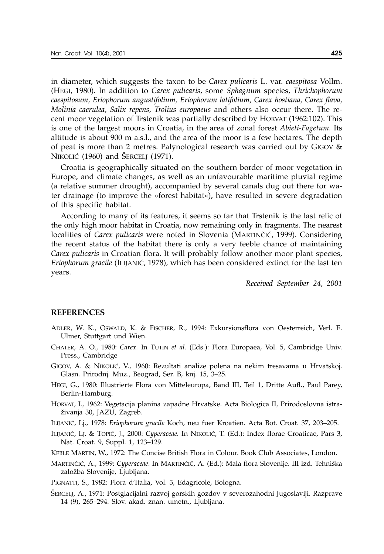in diameter, which suggests the taxon to be *Carex pulicaris* L. var. *caespitosa* Vollm. (HEGI, 1980). In addition to *Carex pulicaris*, some *Sphagnum* species, *Thrichophorum caespitosum, Eriophorum angustifolium, Eriophorum latifolium, Carex hostiana, Carex flava, Molinia caerulea, Salix repens, Trolius europaeus* and others also occur there. The recent moor vegetation of Trstenik was partially described by HORVAT (1962:102). This is one of the largest moors in Croatia, in the area of zonal forest *Abieti-Fagetum.* Its altitude is about 900 m a.s.l., and the area of the moor is a few hectares. The depth of peat is more than 2 metres. Palynological research was carried out by GIGOV & NIKOLIĆ (1960) and ŠERCELJ (1971).

Croatia is geographically situated on the southern border of moor vegetation in Europe, and climate changes, as well as an unfavourable maritime pluvial regime (a relative summer drought), accompanied by several canals dug out there for water drainage (to improve the »forest habitat«), have resulted in severe degradation of this specific habitat.

According to many of its features, it seems so far that Trstenik is the last relic of the only high moor habitat in Croatia, now remaining only in fragments. The nearest localities of *Carex pulicaris* were noted in Slovenia (MARTINČIČ, 1999). Considering the recent status of the habitat there is only a very feeble chance of maintaining *Carex pulicaris* in Croatian flora. It will probably follow another moor plant species, Eriophorum gracile (ILIJANIĆ, 1978), which has been considered extinct for the last ten years.

*Received September 24, 2001*

#### **REFERENCES**

- ADLER, W. K., OSWALD, K. & FISCHER, R., 1994: Exkursionsflora von Oesterreich, Verl. E. Ulmer, Stuttgart und Wien.
- CHATER, A. O., 1980: *Carex.* In TUTIN *et al*. (Eds.): Flora Europaea, Vol. 5, Cambridge Univ. Press., Cambridge
- GIGOV, A. & NIKOLIĆ, V., 1960: Rezultati analize polena na nekim tresavama u Hrvatskoj. Glasn. Prirodnj. Muz., Beograd, Ser. B, knj. 15, 3–25.
- HEGI, G., 1980: Illustrierte Flora von Mitteleuropa, Band III, Teil 1, Dritte Aufl., Paul Parey, Berlin-Hamburg.
- HORVAT, I., 1962: Vegetacija planina zapadne Hrvatske. Acta Biologica II, Prirodoslovna istra živanja 30, JAZU, Zagreb.
- ILIJANI], Lj., 1978: *Eriophorum gracile* Koch, neu fuer Kroatien. Acta Bot. Croat. 37, 203–205.
- ILIJANIĆ, LJ. & TOPIĆ, J., 2000: *Cyperaceae*. In NIKOLIĆ, T. (Ed.): Index florae Croaticae, Pars 3, Nat. Croat. 9, Suppl. 1, 123–129.
- KEBLE MARTIN, W., 1972: The Concise British Flora in Colour. Book Club Associates, London.
- MARTINČIČ, A., 1999: *Cyperaceae*. In MARTINČIČ, A. (Ed.): Mala flora Slovenije. III izd. Tehniška založba Slovenije, Ljubljana.

PIGNATTI, S., 1982: Flora d'Italia, Vol. 3, Edagricole, Bologna.

[ERCELJ, A., 1971: Postglacijalni razvoj gorskih gozdov v severozahodni Jugoslaviji. Razprave 14 (9), 265–294. Slov. akad. znan. umetn., Ljubljana.